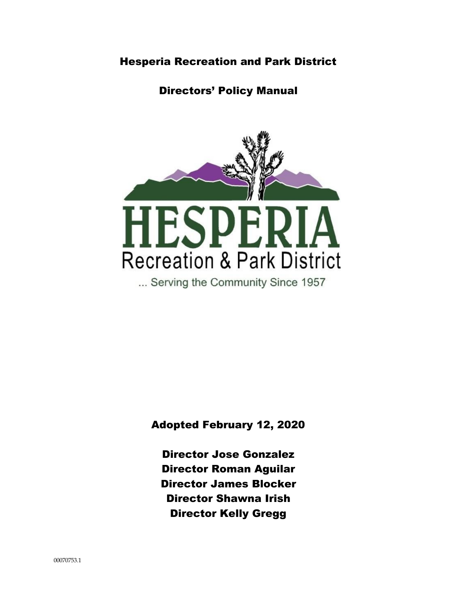# Hesperia Recreation and Park District

# Directors' Policy Manual



Adopted February 12, 2020

Director Jose Gonzalez Director Roman Aguilar Director James Blocker Director Shawna Irish Director Kelly Gregg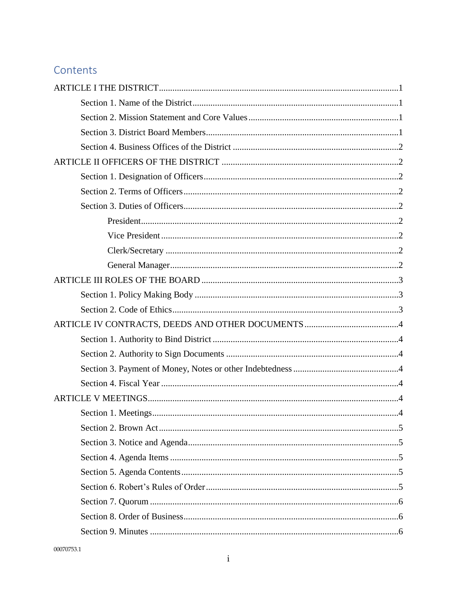# Contents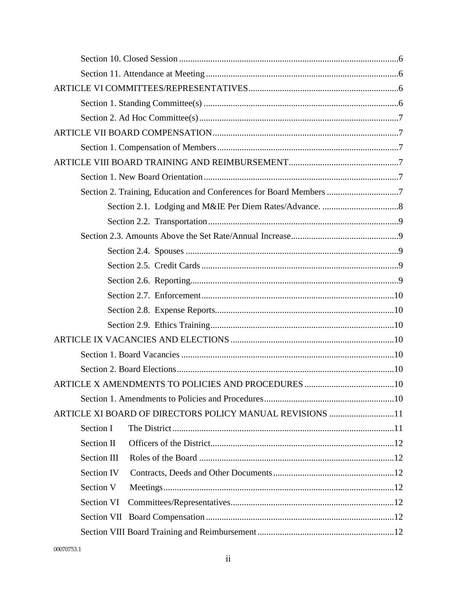| Section 2. Training, Education and Conferences for Board Members 7 |  |
|--------------------------------------------------------------------|--|
|                                                                    |  |
|                                                                    |  |
|                                                                    |  |
|                                                                    |  |
|                                                                    |  |
|                                                                    |  |
|                                                                    |  |
|                                                                    |  |
|                                                                    |  |
|                                                                    |  |
|                                                                    |  |
|                                                                    |  |
|                                                                    |  |
|                                                                    |  |
| ARTICLE XI BOARD OF DIRECTORS POLICY MANUAL REVISIONS 11           |  |
| Section I                                                          |  |
| Section II                                                         |  |
| Section III                                                        |  |
| <b>Section IV</b>                                                  |  |
| Section V                                                          |  |
| Section VI                                                         |  |
|                                                                    |  |
|                                                                    |  |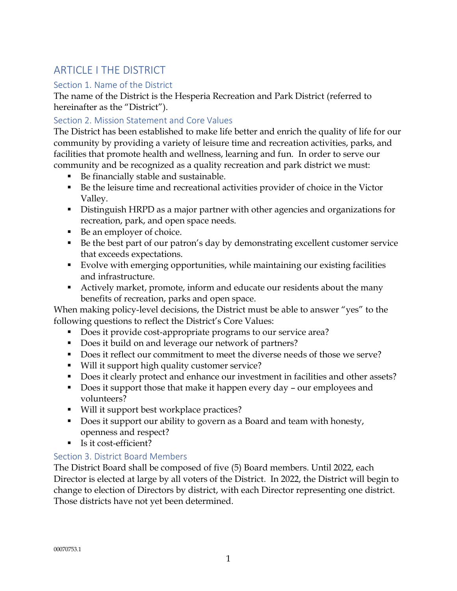# <span id="page-4-0"></span>ARTICLE LTHE DISTRICT

# <span id="page-4-1"></span>Section 1. Name of the District

The name of the District is the Hesperia Recreation and Park District (referred to hereinafter as the "District").

# <span id="page-4-2"></span>Section 2. Mission Statement and Core Values

The District has been established to make life better and enrich the quality of life for our community by providing a variety of leisure time and recreation activities, parks, and facilities that promote health and wellness, learning and fun. In order to serve our community and be recognized as a quality recreation and park district we must:

- Be financially stable and sustainable.
- Be the leisure time and recreational activities provider of choice in the Victor Valley.
- Distinguish HRPD as a major partner with other agencies and organizations for recreation, park, and open space needs.
- Be an employer of choice.
- Be the best part of our patron's day by demonstrating excellent customer service that exceeds expectations.
- Evolve with emerging opportunities, while maintaining our existing facilities and infrastructure.
- Actively market, promote, inform and educate our residents about the many benefits of recreation, parks and open space.

When making policy-level decisions, the District must be able to answer "yes" to the following questions to reflect the District's Core Values:

- Does it provide cost-appropriate programs to our service area?
- Does it build on and leverage our network of partners?
- Does it reflect our commitment to meet the diverse needs of those we serve?
- Will it support high quality customer service?
- Does it clearly protect and enhance our investment in facilities and other assets?
- Does it support those that make it happen every day our employees and volunteers?
- Will it support best workplace practices?
- Does it support our ability to govern as a Board and team with honesty, openness and respect?
- Is it cost-efficient?

# <span id="page-4-3"></span>Section 3. District Board Members

The District Board shall be composed of five (5) Board members. Until 2022, each Director is elected at large by all voters of the District. In 2022, the District will begin to change to election of Directors by district, with each Director representing one district. Those districts have not yet been determined.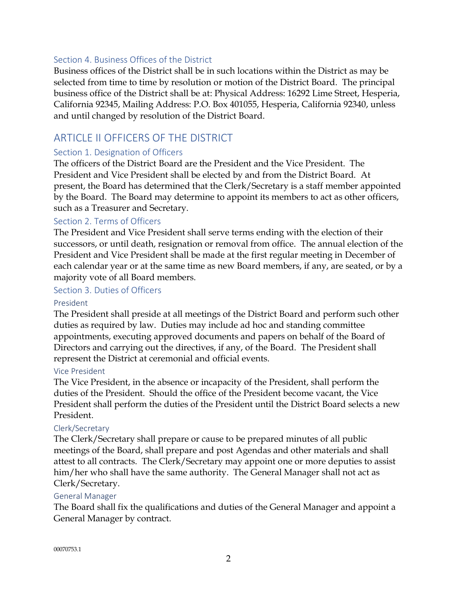#### <span id="page-5-0"></span>Section 4. Business Offices of the District

Business offices of the District shall be in such locations within the District as may be selected from time to time by resolution or motion of the District Board. The principal business office of the District shall be at: Physical Address: 16292 Lime Street, Hesperia, California 92345, Mailing Address: P.O. Box 401055, Hesperia, California 92340, unless and until changed by resolution of the District Board.

# <span id="page-5-1"></span>ARTICLE II OFFICERS OF THE DISTRICT

### <span id="page-5-2"></span>Section 1. Designation of Officers

The officers of the District Board are the President and the Vice President. The President and Vice President shall be elected by and from the District Board. At present, the Board has determined that the Clerk/Secretary is a staff member appointed by the Board. The Board may determine to appoint its members to act as other officers, such as a Treasurer and Secretary.

### <span id="page-5-3"></span>Section 2. Terms of Officers

The President and Vice President shall serve terms ending with the election of their successors, or until death, resignation or removal from office. The annual election of the President and Vice President shall be made at the first regular meeting in December of each calendar year or at the same time as new Board members, if any, are seated, or by a majority vote of all Board members.

#### <span id="page-5-4"></span>Section 3. Duties of Officers

#### <span id="page-5-5"></span>President

The President shall preside at all meetings of the District Board and perform such other duties as required by law. Duties may include ad hoc and standing committee appointments, executing approved documents and papers on behalf of the Board of Directors and carrying out the directives, if any, of the Board. The President shall represent the District at ceremonial and official events.

#### <span id="page-5-6"></span>Vice President

The Vice President, in the absence or incapacity of the President, shall perform the duties of the President. Should the office of the President become vacant, the Vice President shall perform the duties of the President until the District Board selects a new President.

#### <span id="page-5-7"></span>Clerk/Secretary

The Clerk/Secretary shall prepare or cause to be prepared minutes of all public meetings of the Board, shall prepare and post Agendas and other materials and shall attest to all contracts. The Clerk/Secretary may appoint one or more deputies to assist him/her who shall have the same authority. The General Manager shall not act as Clerk/Secretary.

#### <span id="page-5-8"></span>General Manager

The Board shall fix the qualifications and duties of the General Manager and appoint a General Manager by contract.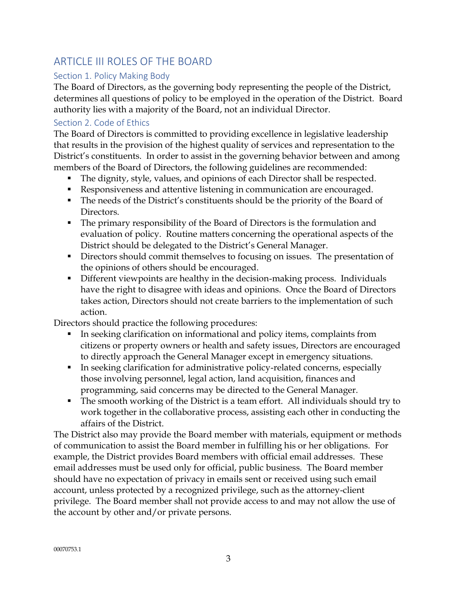# <span id="page-6-0"></span>ARTICLE III ROLES OF THE BOARD

# <span id="page-6-1"></span>Section 1. Policy Making Body

The Board of Directors, as the governing body representing the people of the District, determines all questions of policy to be employed in the operation of the District. Board authority lies with a majority of the Board, not an individual Director.

## <span id="page-6-2"></span>Section 2. Code of Ethics

The Board of Directors is committed to providing excellence in legislative leadership that results in the provision of the highest quality of services and representation to the District's constituents. In order to assist in the governing behavior between and among members of the Board of Directors, the following guidelines are recommended:

- The dignity, style, values, and opinions of each Director shall be respected.
- Responsiveness and attentive listening in communication are encouraged.
- The needs of the District's constituents should be the priority of the Board of Directors.
- The primary responsibility of the Board of Directors is the formulation and evaluation of policy. Routine matters concerning the operational aspects of the District should be delegated to the District's General Manager.
- Directors should commit themselves to focusing on issues. The presentation of the opinions of others should be encouraged.
- Different viewpoints are healthy in the decision-making process. Individuals have the right to disagree with ideas and opinions. Once the Board of Directors takes action, Directors should not create barriers to the implementation of such action.

Directors should practice the following procedures:

- In seeking clarification on informational and policy items, complaints from citizens or property owners or health and safety issues, Directors are encouraged to directly approach the General Manager except in emergency situations.
- In seeking clarification for administrative policy-related concerns, especially those involving personnel, legal action, land acquisition, finances and programming, said concerns may be directed to the General Manager.
- The smooth working of the District is a team effort. All individuals should try to work together in the collaborative process, assisting each other in conducting the affairs of the District.

The District also may provide the Board member with materials, equipment or methods of communication to assist the Board member in fulfilling his or her obligations. For example, the District provides Board members with official email addresses. These email addresses must be used only for official, public business. The Board member should have no expectation of privacy in emails sent or received using such email account, unless protected by a recognized privilege, such as the attorney-client privilege. The Board member shall not provide access to and may not allow the use of the account by other and/or private persons.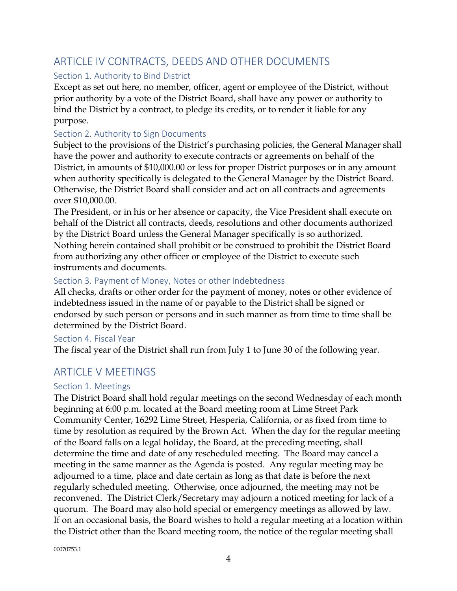# <span id="page-7-0"></span>ARTICLE IV CONTRACTS, DEEDS AND OTHER DOCUMENTS

# <span id="page-7-1"></span>Section 1. Authority to Bind District

Except as set out here, no member, officer, agent or employee of the District, without prior authority by a vote of the District Board, shall have any power or authority to bind the District by a contract, to pledge its credits, or to render it liable for any purpose.

# <span id="page-7-2"></span>Section 2. Authority to Sign Documents

Subject to the provisions of the District's purchasing policies, the General Manager shall have the power and authority to execute contracts or agreements on behalf of the District, in amounts of \$10,000.00 or less for proper District purposes or in any amount when authority specifically is delegated to the General Manager by the District Board. Otherwise, the District Board shall consider and act on all contracts and agreements over \$10,000.00.

The President, or in his or her absence or capacity, the Vice President shall execute on behalf of the District all contracts, deeds, resolutions and other documents authorized by the District Board unless the General Manager specifically is so authorized. Nothing herein contained shall prohibit or be construed to prohibit the District Board from authorizing any other officer or employee of the District to execute such instruments and documents.

## <span id="page-7-3"></span>Section 3. Payment of Money, Notes or other Indebtedness

All checks, drafts or other order for the payment of money, notes or other evidence of indebtedness issued in the name of or payable to the District shall be signed or endorsed by such person or persons and in such manner as from time to time shall be determined by the District Board.

## <span id="page-7-4"></span>Section 4. Fiscal Year

The fiscal year of the District shall run from July 1 to June 30 of the following year.

# <span id="page-7-5"></span>ARTICLE V MEETINGS

#### <span id="page-7-6"></span>Section 1. Meetings

The District Board shall hold regular meetings on the second Wednesday of each month beginning at 6:00 p.m. located at the Board meeting room at Lime Street Park Community Center, 16292 Lime Street, Hesperia, California, or as fixed from time to time by resolution as required by the Brown Act. When the day for the regular meeting of the Board falls on a legal holiday, the Board, at the preceding meeting, shall determine the time and date of any rescheduled meeting. The Board may cancel a meeting in the same manner as the Agenda is posted. Any regular meeting may be adjourned to a time, place and date certain as long as that date is before the next regularly scheduled meeting. Otherwise, once adjourned, the meeting may not be reconvened. The District Clerk/Secretary may adjourn a noticed meeting for lack of a quorum. The Board may also hold special or emergency meetings as allowed by law. If on an occasional basis, the Board wishes to hold a regular meeting at a location within the District other than the Board meeting room, the notice of the regular meeting shall

00070753.1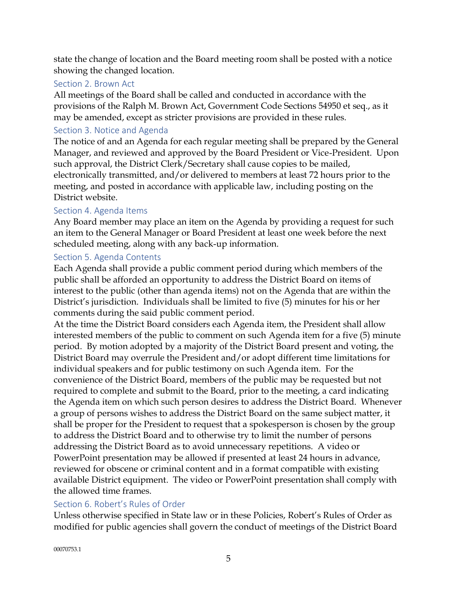state the change of location and the Board meeting room shall be posted with a notice showing the changed location.

## <span id="page-8-0"></span>Section 2. Brown Act

All meetings of the Board shall be called and conducted in accordance with the provisions of the Ralph M. Brown Act, Government Code Sections 54950 et seq., as it may be amended, except as stricter provisions are provided in these rules.

## <span id="page-8-1"></span>Section 3. Notice and Agenda

The notice of and an Agenda for each regular meeting shall be prepared by the General Manager, and reviewed and approved by the Board President or Vice-President. Upon such approval, the District Clerk/Secretary shall cause copies to be mailed, electronically transmitted, and/or delivered to members at least 72 hours prior to the meeting, and posted in accordance with applicable law, including posting on the District website.

### <span id="page-8-2"></span>Section 4. Agenda Items

Any Board member may place an item on the Agenda by providing a request for such an item to the General Manager or Board President at least one week before the next scheduled meeting, along with any back-up information.

### <span id="page-8-3"></span>Section 5. Agenda Contents

Each Agenda shall provide a public comment period during which members of the public shall be afforded an opportunity to address the District Board on items of interest to the public (other than agenda items) not on the Agenda that are within the District's jurisdiction. Individuals shall be limited to five (5) minutes for his or her comments during the said public comment period.

At the time the District Board considers each Agenda item, the President shall allow interested members of the public to comment on such Agenda item for a five (5) minute period. By motion adopted by a majority of the District Board present and voting, the District Board may overrule the President and/or adopt different time limitations for individual speakers and for public testimony on such Agenda item. For the convenience of the District Board, members of the public may be requested but not required to complete and submit to the Board, prior to the meeting, a card indicating the Agenda item on which such person desires to address the District Board. Whenever a group of persons wishes to address the District Board on the same subject matter, it shall be proper for the President to request that a spokesperson is chosen by the group to address the District Board and to otherwise try to limit the number of persons addressing the District Board as to avoid unnecessary repetitions. A video or PowerPoint presentation may be allowed if presented at least 24 hours in advance, reviewed for obscene or criminal content and in a format compatible with existing available District equipment. The video or PowerPoint presentation shall comply with the allowed time frames.

## <span id="page-8-4"></span>Section 6. Robert's Rules of Order

Unless otherwise specified in State law or in these Policies, Robert's Rules of Order as modified for public agencies shall govern the conduct of meetings of the District Board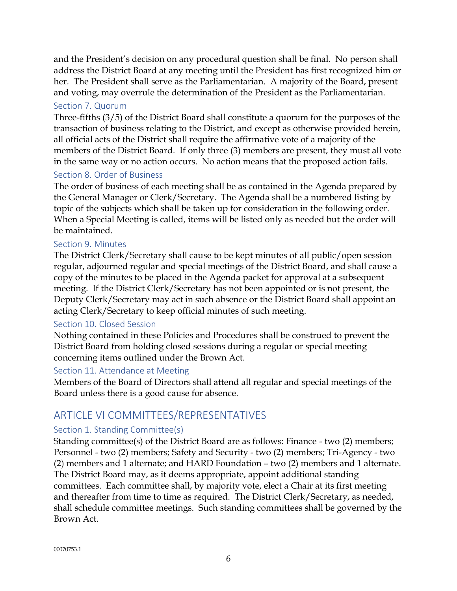and the President's decision on any procedural question shall be final. No person shall address the District Board at any meeting until the President has first recognized him or her. The President shall serve as the Parliamentarian. A majority of the Board, present and voting, may overrule the determination of the President as the Parliamentarian.

## <span id="page-9-0"></span>Section 7. Quorum

Three-fifths (3/5) of the District Board shall constitute a quorum for the purposes of the transaction of business relating to the District, and except as otherwise provided herein, all official acts of the District shall require the affirmative vote of a majority of the members of the District Board. If only three (3) members are present, they must all vote in the same way or no action occurs. No action means that the proposed action fails.

## <span id="page-9-1"></span>Section 8. Order of Business

The order of business of each meeting shall be as contained in the Agenda prepared by the General Manager or Clerk/Secretary. The Agenda shall be a numbered listing by topic of the subjects which shall be taken up for consideration in the following order. When a Special Meeting is called, items will be listed only as needed but the order will be maintained.

### <span id="page-9-2"></span>Section 9. Minutes

The District Clerk/Secretary shall cause to be kept minutes of all public/open session regular, adjourned regular and special meetings of the District Board, and shall cause a copy of the minutes to be placed in the Agenda packet for approval at a subsequent meeting. If the District Clerk/Secretary has not been appointed or is not present, the Deputy Clerk/Secretary may act in such absence or the District Board shall appoint an acting Clerk/Secretary to keep official minutes of such meeting.

#### <span id="page-9-3"></span>Section 10. Closed Session

Nothing contained in these Policies and Procedures shall be construed to prevent the District Board from holding closed sessions during a regular or special meeting concerning items outlined under the Brown Act.

#### <span id="page-9-4"></span>Section 11. Attendance at Meeting

Members of the Board of Directors shall attend all regular and special meetings of the Board unless there is a good cause for absence.

# <span id="page-9-5"></span>ARTICLE VI COMMITTEES/REPRESENTATIVES

## <span id="page-9-6"></span>Section 1. Standing Committee(s)

Standing committee(s) of the District Board are as follows: Finance - two (2) members; Personnel - two (2) members; Safety and Security - two (2) members; Tri-Agency - two (2) members and 1 alternate; and HARD Foundation – two (2) members and 1 alternate. The District Board may, as it deems appropriate, appoint additional standing committees. Each committee shall, by majority vote, elect a Chair at its first meeting and thereafter from time to time as required. The District Clerk/Secretary, as needed, shall schedule committee meetings. Such standing committees shall be governed by the Brown Act.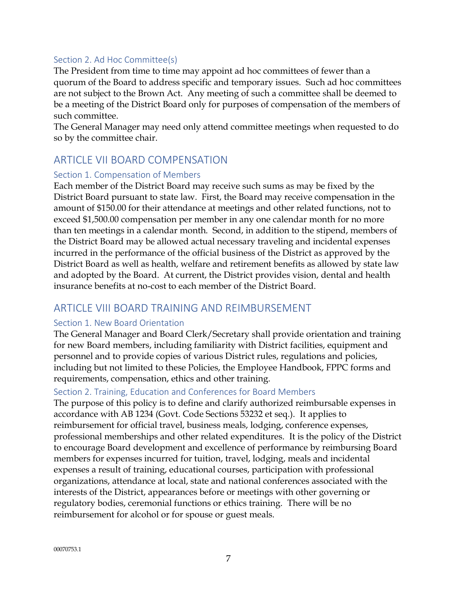### <span id="page-10-0"></span>Section 2. Ad Hoc Committee(s)

The President from time to time may appoint ad hoc committees of fewer than a quorum of the Board to address specific and temporary issues. Such ad hoc committees are not subject to the Brown Act. Any meeting of such a committee shall be deemed to be a meeting of the District Board only for purposes of compensation of the members of such committee.

The General Manager may need only attend committee meetings when requested to do so by the committee chair.

# <span id="page-10-1"></span>ARTICLE VII BOARD COMPENSATION

#### <span id="page-10-2"></span>Section 1. Compensation of Members

Each member of the District Board may receive such sums as may be fixed by the District Board pursuant to state law. First, the Board may receive compensation in the amount of \$150.00 for their attendance at meetings and other related functions, not to exceed \$1,500.00 compensation per member in any one calendar month for no more than ten meetings in a calendar month. Second, in addition to the stipend, members of the District Board may be allowed actual necessary traveling and incidental expenses incurred in the performance of the official business of the District as approved by the District Board as well as health, welfare and retirement benefits as allowed by state law and adopted by the Board. At current, the District provides vision, dental and health insurance benefits at no-cost to each member of the District Board.

# <span id="page-10-3"></span>ARTICLE VIII BOARD TRAINING AND REIMBURSEMENT

#### <span id="page-10-4"></span>Section 1. New Board Orientation

The General Manager and Board Clerk/Secretary shall provide orientation and training for new Board members, including familiarity with District facilities, equipment and personnel and to provide copies of various District rules, regulations and policies, including but not limited to these Policies, the Employee Handbook, FPPC forms and requirements, compensation, ethics and other training.

#### <span id="page-10-5"></span>Section 2. Training, Education and Conferences for Board Members

The purpose of this policy is to define and clarify authorized reimbursable expenses in accordance with AB 1234 (Govt. Code Sections 53232 et seq.). It applies to reimbursement for official travel, business meals, lodging, conference expenses, professional memberships and other related expenditures. It is the policy of the District to encourage Board development and excellence of performance by reimbursing Board members for expenses incurred for tuition, travel, lodging, meals and incidental expenses a result of training, educational courses, participation with professional organizations, attendance at local, state and national conferences associated with the interests of the District, appearances before or meetings with other governing or regulatory bodies, ceremonial functions or ethics training. There will be no reimbursement for alcohol or for spouse or guest meals.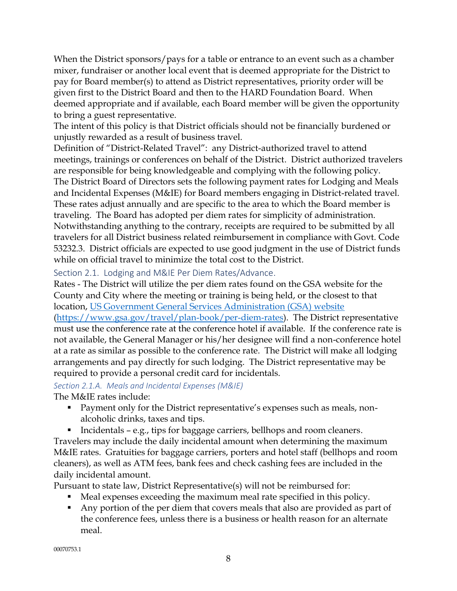When the District sponsors/pays for a table or entrance to an event such as a chamber mixer, fundraiser or another local event that is deemed appropriate for the District to pay for Board member(s) to attend as District representatives, priority order will be given first to the District Board and then to the HARD Foundation Board. When deemed appropriate and if available, each Board member will be given the opportunity to bring a guest representative.

The intent of this policy is that District officials should not be financially burdened or unjustly rewarded as a result of business travel.

Definition of "District-Related Travel": any District-authorized travel to attend meetings, trainings or conferences on behalf of the District. District authorized travelers are responsible for being knowledgeable and complying with the following policy. The District Board of Directors sets the following payment rates for Lodging and Meals and Incidental Expenses (M&IE) for Board members engaging in District-related travel. These rates adjust annually and are specific to the area to which the Board member is traveling. The Board has adopted per diem rates for simplicity of administration. Notwithstanding anything to the contrary, receipts are required to be submitted by all travelers for all District business related reimbursement in compliance with Govt. Code 53232.3. District officials are expected to use good judgment in the use of District funds while on official travel to minimize the total cost to the District.

<span id="page-11-0"></span>Section 2.1. Lodging and M&IE Per Diem Rates/Advance.

Rates - The District will utilize the per diem rates found on the GSA website for the County and City where the meeting or training is being held, or the closest to that location, [US Government General Services Administration \(GSA\) website](http://www.gsa.gov/portal/category/21287) [\(https://www.gsa.gov/travel/plan-book/per-diem-rates\)](https://www.gsa.gov/travel/plan-book/per-diem-rates). The District representative must use the conference rate at the conference hotel if available. If the conference rate is not available, the General Manager or his/her designee will find a non-conference hotel at a rate as similar as possible to the conference rate. The District will make all lodging arrangements and pay directly for such lodging. The District representative may be required to provide a personal credit card for incidentals.

#### *Section 2.1.A. Meals and Incidental Expenses (M&IE)* The M&IE rates include:

- **Payment only for the District representative's expenses such as meals, non**alcoholic drinks, taxes and tips.
- Incidentals e.g., tips for baggage carriers, bellhops and room cleaners.

Travelers may include the daily incidental amount when determining the maximum M&IE rates. Gratuities for baggage carriers, porters and hotel staff (bellhops and room cleaners), as well as ATM fees, bank fees and check cashing fees are included in the daily incidental amount.

Pursuant to state law, District Representative(s) will not be reimbursed for:

- Meal expenses exceeding the maximum meal rate specified in this policy.
- Any portion of the per diem that covers meals that also are provided as part of the conference fees, unless there is a business or health reason for an alternate meal.

00070753.1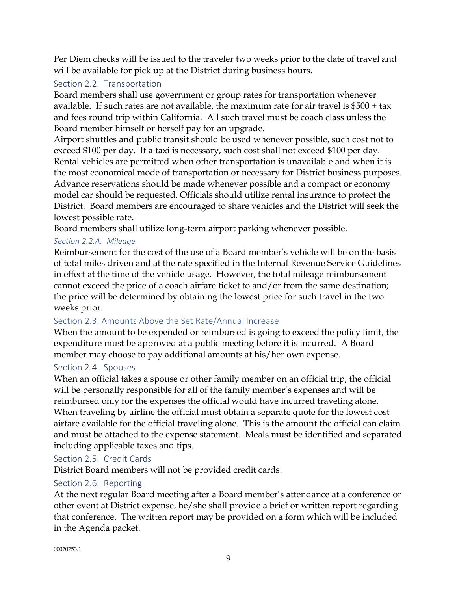Per Diem checks will be issued to the traveler two weeks prior to the date of travel and will be available for pick up at the District during business hours.

# <span id="page-12-0"></span>Section 2.2. Transportation

Board members shall use government or group rates for transportation whenever available. If such rates are not available, the maximum rate for air travel is \$500 + tax and fees round trip within California. All such travel must be coach class unless the Board member himself or herself pay for an upgrade.

Airport shuttles and public transit should be used whenever possible, such cost not to exceed \$100 per day. If a taxi is necessary, such cost shall not exceed \$100 per day. Rental vehicles are permitted when other transportation is unavailable and when it is the most economical mode of transportation or necessary for District business purposes. Advance reservations should be made whenever possible and a compact or economy model car should be requested. Officials should utilize rental insurance to protect the District. Board members are encouraged to share vehicles and the District will seek the lowest possible rate.

Board members shall utilize long-term airport parking whenever possible.

### *Section 2.2.A. Mileage*

Reimbursement for the cost of the use of a Board member's vehicle will be on the basis of total miles driven and at the rate specified in the Internal Revenue Service Guidelines in effect at the time of the vehicle usage. However, the total mileage reimbursement cannot exceed the price of a coach airfare ticket to and/or from the same destination; the price will be determined by obtaining the lowest price for such travel in the two weeks prior.

## <span id="page-12-1"></span>Section 2.3. Amounts Above the Set Rate/Annual Increase

When the amount to be expended or reimbursed is going to exceed the policy limit, the expenditure must be approved at a public meeting before it is incurred. A Board member may choose to pay additional amounts at his/her own expense.

## <span id="page-12-2"></span>Section 2.4. Spouses

When an official takes a spouse or other family member on an official trip, the official will be personally responsible for all of the family member's expenses and will be reimbursed only for the expenses the official would have incurred traveling alone. When traveling by airline the official must obtain a separate quote for the lowest cost airfare available for the official traveling alone. This is the amount the official can claim and must be attached to the expense statement. Meals must be identified and separated including applicable taxes and tips.

## <span id="page-12-3"></span>Section 2.5. Credit Cards

District Board members will not be provided credit cards.

#### <span id="page-12-4"></span>Section 2.6. Reporting.

At the next regular Board meeting after a Board member's attendance at a conference or other event at District expense, he/she shall provide a brief or written report regarding that conference. The written report may be provided on a form which will be included in the Agenda packet.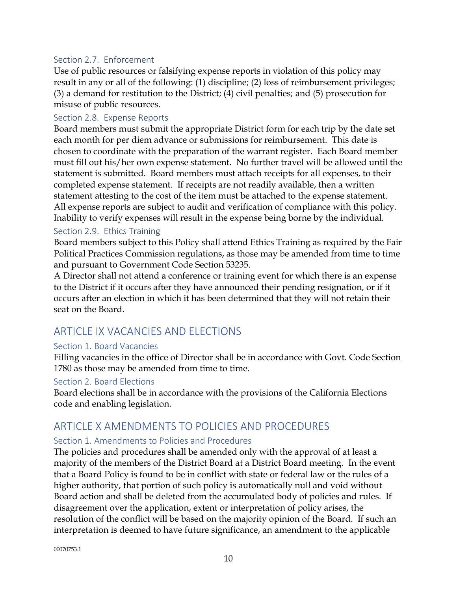#### <span id="page-13-0"></span>Section 2.7. Enforcement

Use of public resources or falsifying expense reports in violation of this policy may result in any or all of the following: (1) discipline; (2) loss of reimbursement privileges; (3) a demand for restitution to the District; (4) civil penalties; and (5) prosecution for misuse of public resources.

### <span id="page-13-1"></span>Section 2.8. Expense Reports

Board members must submit the appropriate District form for each trip by the date set each month for per diem advance or submissions for reimbursement. This date is chosen to coordinate with the preparation of the warrant register. Each Board member must fill out his/her own expense statement. No further travel will be allowed until the statement is submitted. Board members must attach receipts for all expenses, to their completed expense statement. If receipts are not readily available, then a written statement attesting to the cost of the item must be attached to the expense statement. All expense reports are subject to audit and verification of compliance with this policy. Inability to verify expenses will result in the expense being borne by the individual.

#### <span id="page-13-2"></span>Section 2.9. Ethics Training

Board members subject to this Policy shall attend Ethics Training as required by the Fair Political Practices Commission regulations, as those may be amended from time to time and pursuant to Government Code Section 53235.

A Director shall not attend a conference or training event for which there is an expense to the District if it occurs after they have announced their pending resignation, or if it occurs after an election in which it has been determined that they will not retain their seat on the Board.

# <span id="page-13-3"></span>ARTICLE IX VACANCIES AND ELECTIONS

#### <span id="page-13-4"></span>Section 1. Board Vacancies

Filling vacancies in the office of Director shall be in accordance with Govt. Code Section 1780 as those may be amended from time to time.

#### <span id="page-13-5"></span>Section 2. Board Elections

Board elections shall be in accordance with the provisions of the California Elections code and enabling legislation.

# <span id="page-13-6"></span>ARTICLE X AMENDMENTS TO POLICIES AND PROCEDURES

#### <span id="page-13-7"></span>Section 1. Amendments to Policies and Procedures

The policies and procedures shall be amended only with the approval of at least a majority of the members of the District Board at a District Board meeting. In the event that a Board Policy is found to be in conflict with state or federal law or the rules of a higher authority, that portion of such policy is automatically null and void without Board action and shall be deleted from the accumulated body of policies and rules. If disagreement over the application, extent or interpretation of policy arises, the resolution of the conflict will be based on the majority opinion of the Board. If such an interpretation is deemed to have future significance, an amendment to the applicable

00070753.1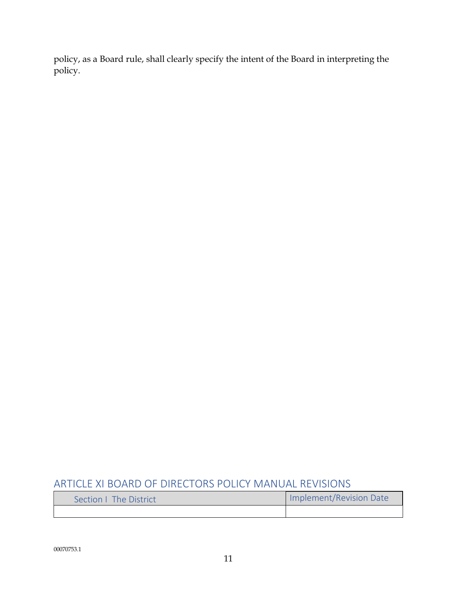policy, as a Board rule, shall clearly specify the intent of the Board in interpreting the policy.

# <span id="page-14-0"></span>ARTICLE XI BOARD OF DIRECTORS POLICY MANUAL REVISIONS

<span id="page-14-1"></span>

| Section   The District | Implement/Revision Date |
|------------------------|-------------------------|
|                        |                         |